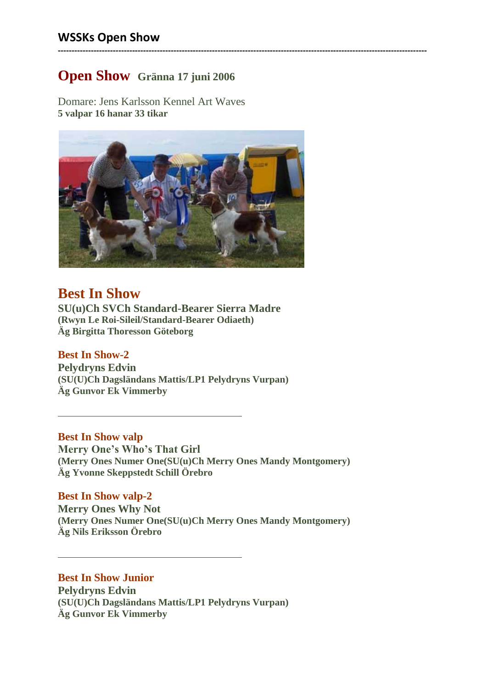# **Open Show Gränna 17 juni 2006**

Domare: Jens Karlsson Kennel Art Waves **5 valpar 16 hanar 33 tikar**



**--------------------------------------------------------------------------------------------------------------------------------------**

# **Best In Show**

**SU(u)Ch SVCh Standard-Bearer Sierra Madre (Rwyn Le Roi-Sileil/Standard-Bearer Odiaeth) Äg Birgitta Thoresson Göteborg**

# **Best In Show-2**

**Pelydryns Edvin (SU(U)Ch Dagsländans Mattis/LP1 Pelydryns Vurpan) Äg Gunvor Ek Vimmerby**

## **Best In Show valp**

**Merry One's Who's That Girl (Merry Ones Numer One(SU(u)Ch Merry Ones Mandy Montgomery) Äg Yvonne Skeppstedt Schill Örebro**

## **Best In Show valp-2**

**Merry Ones Why Not (Merry Ones Numer One(SU(u)Ch Merry Ones Mandy Montgomery) Äg Nils Eriksson Örebro**

# **Best In Show Junior**

**Pelydryns Edvin (SU(U)Ch Dagsländans Mattis/LP1 Pelydryns Vurpan) Äg Gunvor Ek Vimmerby**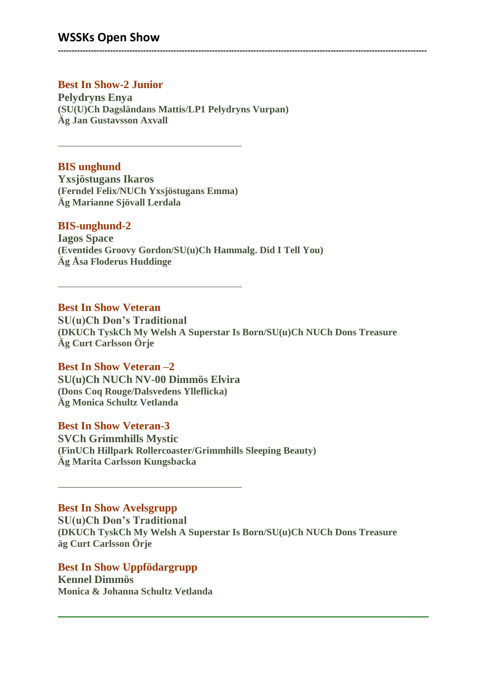# **WSSKs Open Show**

# **Best In Show-2 Junior**

**Pelydryns Enya (SU(U)Ch Dagsländans Mattis/LP1 Pelydryns Vurpan) Äg Jan Gustavsson Axvall**

### **BIS unghund**

**Yxsjöstugans Ikaros (Ferndel Felix/NUCh Yxsjöstugans Emma) Äg Marianne Sjövall Lerdala**

#### **BIS-unghund-2**

**Iagos Space (Eventides Groovy Gordon/SU(u)Ch Hammalg. Did I Tell You) Äg Åsa Floderus Huddinge**

#### **Best In Show Veteran**

**SU(u)Ch Don's Traditional (DKUCh TyskCh My Welsh A Superstar Is Born/SU(u)Ch NUCh Dons Treasure Äg Curt Carlsson Örje**

**--------------------------------------------------------------------------------------------------------------------------------------**

#### **Best In Show Veteran –2**

**SU(u)Ch NUCh NV-00 Dimmös Elvira (Dons Coq Rouge/Dalsvedens Ylleflicka) Äg Monica Schultz Vetlanda**

#### **Best In Show Veteran-3**

**SVCh Grimmhills Mystic (FinUCh Hillpark Rollercoaster/Grimmhills Sleeping Beauty) Äg Marita Carlsson Kungsbacka**

#### **Best In Show Avelsgrupp**

**SU(u)Ch Don's Traditional (DKUCh TyskCh My Welsh A Superstar Is Born/SU(u)Ch NUCh Dons Treasure äg Curt Carlsson Örje**

#### **Best In Show Uppfödargrupp**

**Kennel Dimmös Monica & Johanna Schultz Vetlanda**